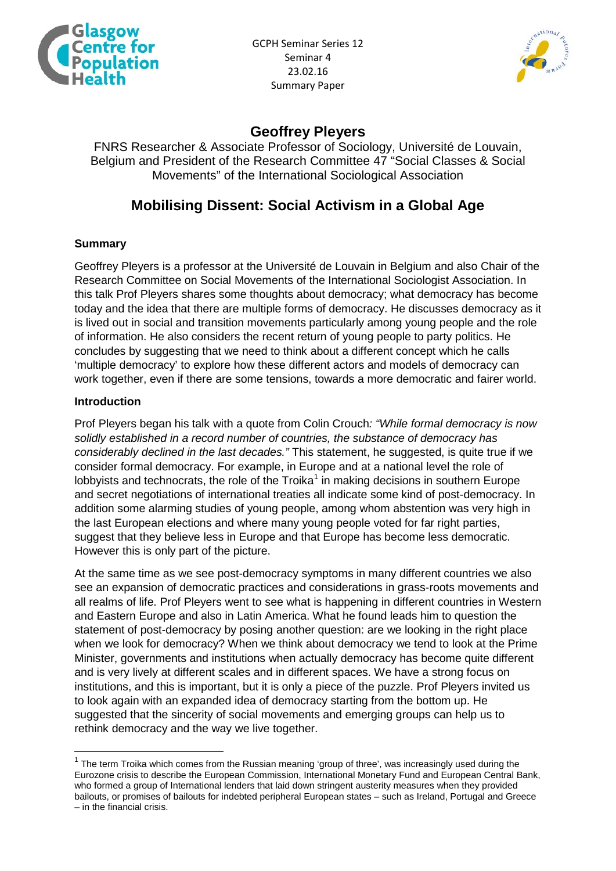



## **Geoffrey Pleyers**

FNRS Researcher & Associate Professor of Sociology, Université de Louvain, Belgium and President of the Research Committee 47 "Social Classes & Social Movements" of the International Sociological Association

# **Mobilising Dissent: Social Activism in a Global Age**

## **Summary**

Geoffrey Pleyers is a professor at the Université de Louvain in Belgium and also Chair of the Research Committee on Social Movements of the International Sociologist Association. In this talk Prof Pleyers shares some thoughts about democracy; what democracy has become today and the idea that there are multiple forms of democracy. He discusses democracy as it is lived out in social and transition movements particularly among young people and the role of information. He also considers the recent return of young people to party politics. He concludes by suggesting that we need to think about a different concept which he calls 'multiple democracy' to explore how these different actors and models of democracy can work together, even if there are some tensions, towards a more democratic and fairer world.

#### **Introduction**

Prof Pleyers began his talk with a quote from Colin Crouch*: "While formal democracy is now solidly established in a record number of countries, the substance of democracy has considerably declined in the last decades."* This statement, he suggested, is quite true if we consider formal democracy. For example, in Europe and at a national level the role of lobbyists and technocrats, the role of the Troika<sup>[1](#page-0-0)</sup> in making decisions in southern Europe and secret negotiations of international treaties all indicate some kind of post-democracy. In addition some alarming studies of young people, among whom abstention was very high in the last European elections and where many young people voted for far right parties, suggest that they believe less in Europe and that Europe has become less democratic. However this is only part of the picture.

At the same time as we see post-democracy symptoms in many different countries we also see an expansion of democratic practices and considerations in grass-roots movements and all realms of life. Prof Pleyers went to see what is happening in different countries in Western and Eastern Europe and also in Latin America. What he found leads him to question the statement of post-democracy by posing another question: are we looking in the right place when we look for democracy? When we think about democracy we tend to look at the Prime Minister, governments and institutions when actually democracy has become quite different and is very lively at different scales and in different spaces. We have a strong focus on institutions, and this is important, but it is only a piece of the puzzle. Prof Pleyers invited us to look again with an expanded idea of democracy starting from the bottom up. He suggested that the sincerity of social movements and emerging groups can help us to rethink democracy and the way we live together.

<span id="page-0-0"></span> $1$  The term Troika which comes from the Russian meaning 'group of three', was increasingly used during the Eurozone crisis to describe the European Commission, International Monetary Fund and European Central Bank, who formed a group of International lenders that laid down stringent austerity measures when they provided bailouts, or promises of bailouts for indebted peripheral European states – such as Ireland, Portugal and Greece – in the financial crisis.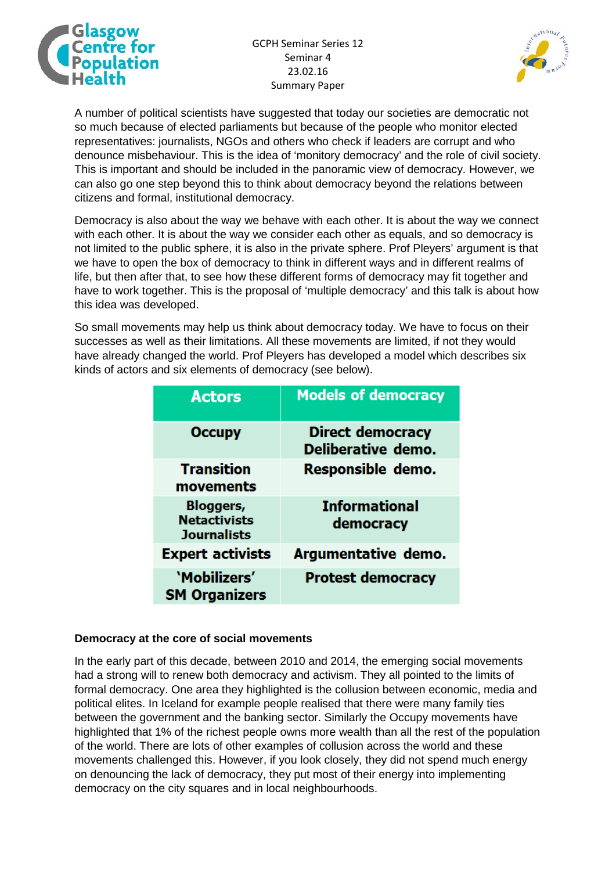

GCPH Seminar Series 12 Seminar 4 23.02.16 Summary Paper



A number of political scientists have suggested that today our societies are democratic not so much because of elected parliaments but because of the people who monitor elected representatives: journalists, NGOs and others who check if leaders are corrupt and who denounce misbehaviour. This is the idea of 'monitory democracy' and the role of civil society. This is important and should be included in the panoramic view of democracy. However, we can also go one step beyond this to think about democracy beyond the relations between citizens and formal, institutional democracy.

Democracy is also about the way we behave with each other. It is about the way we connect with each other. It is about the way we consider each other as equals, and so democracy is not limited to the public sphere, it is also in the private sphere. Prof Pleyers' argument is that we have to open the box of democracy to think in different ways and in different realms of life, but then after that, to see how these different forms of democracy may fit together and have to work together. This is the proposal of 'multiple democracy' and this talk is about how this idea was developed.

So small movements may help us think about democracy today. We have to focus on their successes as well as their limitations. All these movements are limited, if not they would have already changed the world. Prof Pleyers has developed a model which describes six kinds of actors and six elements of democracy (see below).

| <b>Actors</b>                                                 | <b>Models of democracy</b>                    |
|---------------------------------------------------------------|-----------------------------------------------|
| <b>Occupy</b>                                                 | <b>Direct democracy</b><br>Deliberative demo. |
| <b>Transition</b><br>movements                                | Responsible demo.                             |
| <b>Bloggers,</b><br><b>Netactivists</b><br><b>Journalists</b> | <b>Informational</b><br>democracy             |
| <b>Expert activists</b>                                       | Argumentative demo.                           |
| 'Mobilizers'<br><b>SM Organizers</b>                          | <b>Protest democracy</b>                      |

#### **Democracy at the core of social movements**

In the early part of this decade, between 2010 and 2014, the emerging social movements had a strong will to renew both democracy and activism. They all pointed to the limits of formal democracy. One area they highlighted is the collusion between economic, media and political elites. In Iceland for example people realised that there were many family ties between the government and the banking sector. Similarly the Occupy movements have highlighted that 1% of the richest people owns more wealth than all the rest of the population of the world. There are lots of other examples of collusion across the world and these movements challenged this. However, if you look closely, they did not spend much energy on denouncing the lack of democracy, they put most of their energy into implementing democracy on the city squares and in local neighbourhoods.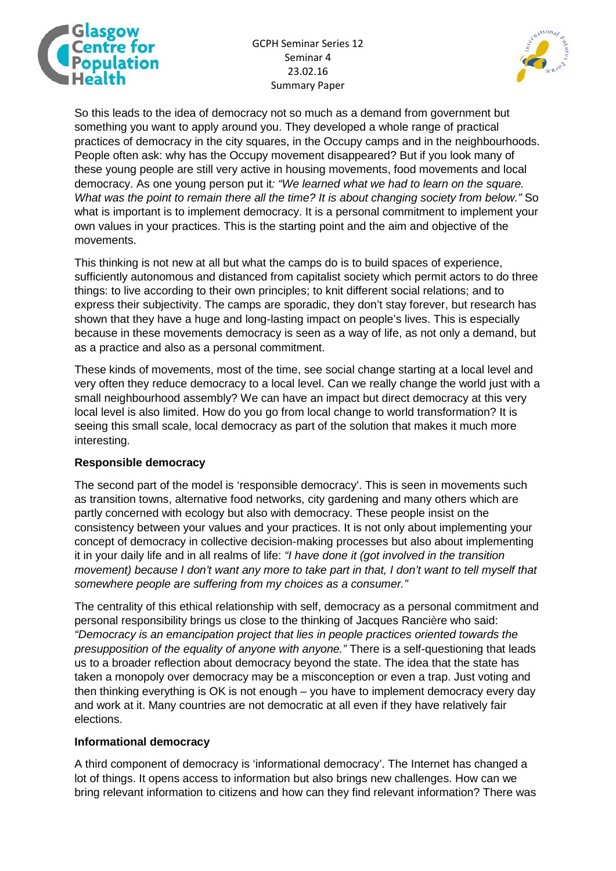

GCPH Seminar Series 12 Seminar 4 23.02.16 Summary Paper



So this leads to the idea of democracy not so much as a demand from government but something you want to apply around you. They developed a whole range of practical practices of democracy in the city squares, in the Occupy camps and in the neighbourhoods. People often ask: why has the Occupy movement disappeared? But if you look many of these young people are still very active in housing movements, food movements and local democracy. As one young person put it*: "We learned what we had to learn on the square. What was the point to remain there all the time? It is about changing society from below."* So what is important is to implement democracy. It is a personal commitment to implement your own values in your practices. This is the starting point and the aim and objective of the movements.

This thinking is not new at all but what the camps do is to build spaces of experience, sufficiently autonomous and distanced from capitalist society which permit actors to do three things: to live according to their own principles; to knit different social relations; and to express their subjectivity. The camps are sporadic, they don't stay forever, but research has shown that they have a huge and long-lasting impact on people's lives. This is especially because in these movements democracy is seen as a way of life, as not only a demand, but as a practice and also as a personal commitment.

These kinds of movements, most of the time, see social change starting at a local level and very often they reduce democracy to a local level. Can we really change the world just with a small neighbourhood assembly? We can have an impact but direct democracy at this very local level is also limited. How do you go from local change to world transformation? It is seeing this small scale, local democracy as part of the solution that makes it much more interesting.

## **Responsible democracy**

The second part of the model is 'responsible democracy'. This is seen in movements such as transition towns, alternative food networks, city gardening and many others which are partly concerned with ecology but also with democracy. These people insist on the consistency between your values and your practices. It is not only about implementing your concept of democracy in collective decision-making processes but also about implementing it in your daily life and in all realms of life: *"I have done it (got involved in the transition movement) because I don't want any more to take part in that, I don't want to tell myself that somewhere people are suffering from my choices as a consumer."*

The centrality of this ethical relationship with self, democracy as a personal commitment and personal responsibility brings us close to the thinking of Jacques Rancière who said: *"Democracy is an emancipation project that lies in people practices oriented towards the presupposition of the equality of anyone with anyone."* There is a self-questioning that leads us to a broader reflection about democracy beyond the state. The idea that the state has taken a monopoly over democracy may be a misconception or even a trap. Just voting and then thinking everything is OK is not enough – you have to implement democracy every day and work at it. Many countries are not democratic at all even if they have relatively fair elections.

#### **Informational democracy**

A third component of democracy is 'informational democracy'. The Internet has changed a lot of things. It opens access to information but also brings new challenges. How can we bring relevant information to citizens and how can they find relevant information? There was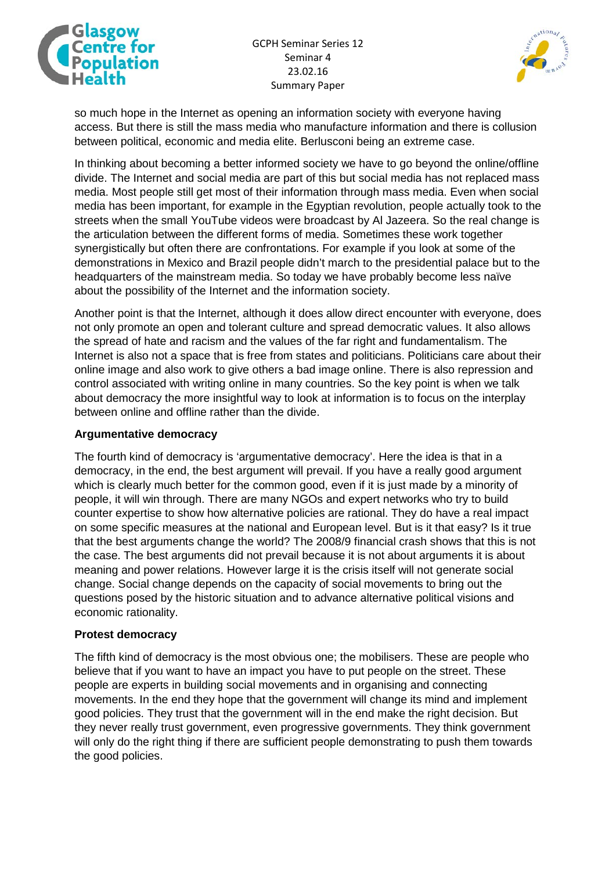



so much hope in the Internet as opening an information society with everyone having access. But there is still the mass media who manufacture information and there is collusion between political, economic and media elite. Berlusconi being an extreme case.

In thinking about becoming a better informed society we have to go beyond the online/offline divide. The Internet and social media are part of this but social media has not replaced mass media. Most people still get most of their information through mass media. Even when social media has been important, for example in the Egyptian revolution, people actually took to the streets when the small YouTube videos were broadcast by Al Jazeera. So the real change is the articulation between the different forms of media. Sometimes these work together synergistically but often there are confrontations. For example if you look at some of the demonstrations in Mexico and Brazil people didn't march to the presidential palace but to the headquarters of the mainstream media. So today we have probably become less naïve about the possibility of the Internet and the information society.

Another point is that the Internet, although it does allow direct encounter with everyone, does not only promote an open and tolerant culture and spread democratic values. It also allows the spread of hate and racism and the values of the far right and fundamentalism. The Internet is also not a space that is free from states and politicians. Politicians care about their online image and also work to give others a bad image online. There is also repression and control associated with writing online in many countries. So the key point is when we talk about democracy the more insightful way to look at information is to focus on the interplay between online and offline rather than the divide.

#### **Argumentative democracy**

The fourth kind of democracy is 'argumentative democracy'. Here the idea is that in a democracy, in the end, the best argument will prevail. If you have a really good argument which is clearly much better for the common good, even if it is just made by a minority of people, it will win through. There are many NGOs and expert networks who try to build counter expertise to show how alternative policies are rational. They do have a real impact on some specific measures at the national and European level. But is it that easy? Is it true that the best arguments change the world? The 2008/9 financial crash shows that this is not the case. The best arguments did not prevail because it is not about arguments it is about meaning and power relations. However large it is the crisis itself will not generate social change. Social change depends on the capacity of social movements to bring out the questions posed by the historic situation and to advance alternative political visions and economic rationality.

## **Protest democracy**

The fifth kind of democracy is the most obvious one; the mobilisers. These are people who believe that if you want to have an impact you have to put people on the street. These people are experts in building social movements and in organising and connecting movements. In the end they hope that the government will change its mind and implement good policies. They trust that the government will in the end make the right decision. But they never really trust government, even progressive governments. They think government will only do the right thing if there are sufficient people demonstrating to push them towards the good policies.